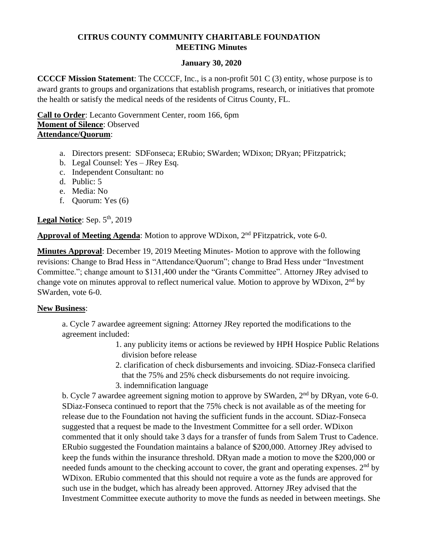# **CITRUS COUNTY COMMUNITY CHARITABLE FOUNDATION MEETING Minutes**

## **January 30, 2020**

**CCCCF Mission Statement**: The CCCCF, Inc., is a non-profit 501 C (3) entity, whose purpose is to award grants to groups and organizations that establish programs, research, or initiatives that promote the health or satisfy the medical needs of the residents of Citrus County, FL.

**Call to Order**: Lecanto Government Center, room 166, 6pm **Moment of Silence**: Observed **Attendance/Quorum**:

- a. Directors present: SDFonseca; ERubio; SWarden; WDixon; DRyan; PFitzpatrick;
- b. Legal Counsel: Yes JRey Esq.
- c. Independent Consultant: no
- d. Public: 5
- e. Media: No
- f. Quorum: Yes (6)

Legal Notice: Sep. 5<sup>th</sup>, 2019

Approval of Meeting Agenda: Motion to approve WDixon, 2<sup>nd</sup> PFitzpatrick, vote 6-0.

**Minutes Approval**: December 19, 2019 Meeting Minutes- Motion to approve with the following revisions: Change to Brad Hess in "Attendance/Quorum"; change to Brad Hess under "Investment Committee."; change amount to \$131,400 under the "Grants Committee". Attorney JRey advised to change vote on minutes approval to reflect numerical value. Motion to approve by WDixon,  $2<sup>nd</sup>$  by SWarden, vote 6-0.

## **New Business**:

a. Cycle 7 awardee agreement signing: Attorney JRey reported the modifications to the agreement included:

- 1. any publicity items or actions be reviewed by HPH Hospice Public Relations division before release
- 2. clarification of check disbursements and invoicing. SDiaz-Fonseca clarified that the 75% and 25% check disbursements do not require invoicing. 3. indemnification language

b. Cycle 7 awardee agreement signing motion to approve by SWarden,  $2<sup>nd</sup>$  by DRyan, vote 6-0. SDiaz-Fonseca continued to report that the 75% check is not available as of the meeting for release due to the Foundation not having the sufficient funds in the account. SDiaz-Fonseca suggested that a request be made to the Investment Committee for a sell order. WDixon commented that it only should take 3 days for a transfer of funds from Salem Trust to Cadence. ERubio suggested the Foundation maintains a balance of \$200,000. Attorney JRey advised to keep the funds within the insurance threshold. DRyan made a motion to move the \$200,000 or needed funds amount to the checking account to cover, the grant and operating expenses. 2<sup>nd</sup> by WDixon. ERubio commented that this should not require a vote as the funds are approved for such use in the budget, which has already been approved. Attorney JRey advised that the Investment Committee execute authority to move the funds as needed in between meetings. She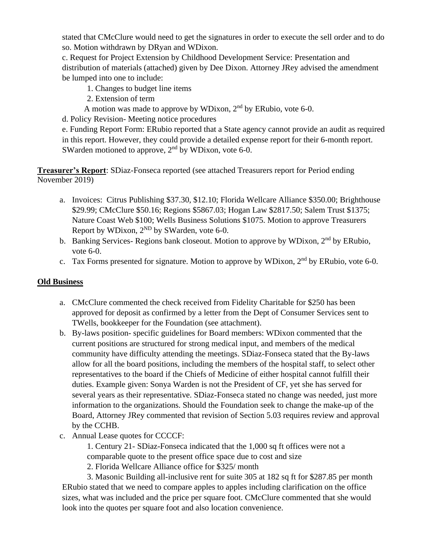stated that CMcClure would need to get the signatures in order to execute the sell order and to do so. Motion withdrawn by DRyan and WDixon.

c. Request for Project Extension by Childhood Development Service: Presentation and distribution of materials (attached) given by Dee Dixon. Attorney JRey advised the amendment be lumped into one to include:

- 1. Changes to budget line items
- 2. Extension of term
- A motion was made to approve by WDixon, 2<sup>nd</sup> by ERubio, vote 6-0.

d. Policy Revision- Meeting notice procedures

e. Funding Report Form: ERubio reported that a State agency cannot provide an audit as required in this report. However, they could provide a detailed expense report for their 6-month report. SWarden motioned to approve,  $2<sup>nd</sup>$  by WDixon, vote 6-0.

**Treasurer's Report**: SDiaz-Fonseca reported (see attached Treasurers report for Period ending November 2019)

- a. Invoices: Citrus Publishing \$37.30, \$12.10; Florida Wellcare Alliance \$350.00; Brighthouse \$29.99; CMcClure \$50.16; Regions \$5867.03; Hogan Law \$2817.50; Salem Trust \$1375; Nature Coast Web \$100; Wells Business Solutions \$1075. Motion to approve Treasurers Report by WDixon,  $2^{ND}$  by SWarden, vote 6-0.
- b. Banking Services- Regions bank closeout. Motion to approve by WDixon, 2<sup>nd</sup> by ERubio, vote 6-0.
- c. Tax Forms presented for signature. Motion to approve by WDixon, 2nd by ERubio, vote 6-0.

## **Old Business**

- a. CMcClure commented the check received from Fidelity Charitable for \$250 has been approved for deposit as confirmed by a letter from the Dept of Consumer Services sent to TWells, bookkeeper for the Foundation (see attachment).
- b. By-laws position- specific guidelines for Board members: WDixon commented that the current positions are structured for strong medical input, and members of the medical community have difficulty attending the meetings. SDiaz-Fonseca stated that the By-laws allow for all the board positions, including the members of the hospital staff, to select other representatives to the board if the Chiefs of Medicine of either hospital cannot fulfill their duties. Example given: Sonya Warden is not the President of CF, yet she has served for several years as their representative. SDiaz-Fonseca stated no change was needed, just more information to the organizations. Should the Foundation seek to change the make-up of the Board, Attorney JRey commented that revision of Section 5.03 requires review and approval by the CCHB.
- c. Annual Lease quotes for CCCCF:

1. Century 21- SDiaz-Fonseca indicated that the 1,000 sq ft offices were not a comparable quote to the present office space due to cost and size

2. Florida Wellcare Alliance office for \$325/ month

3. Masonic Building all-inclusive rent for suite 305 at 182 sq ft for \$287.85 per month ERubio stated that we need to compare apples to apples including clarification on the office sizes, what was included and the price per square foot. CMcClure commented that she would look into the quotes per square foot and also location convenience.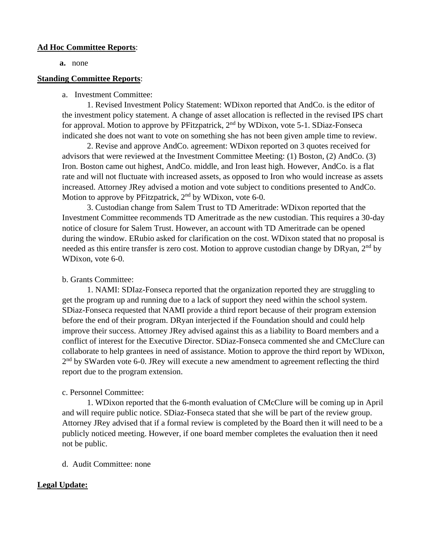#### **Ad Hoc Committee Reports**:

**a.** none

#### **Standing Committee Reports**:

#### a. Investment Committee:

1. Revised Investment Policy Statement: WDixon reported that AndCo. is the editor of the investment policy statement. A change of asset allocation is reflected in the revised IPS chart for approval. Motion to approve by PFitzpatrick, 2<sup>nd</sup> by WDixon, vote 5-1. SDiaz-Fonseca indicated she does not want to vote on something she has not been given ample time to review.

2. Revise and approve AndCo. agreement: WDixon reported on 3 quotes received for advisors that were reviewed at the Investment Committee Meeting: (1) Boston, (2) AndCo. (3) Iron. Boston came out highest, AndCo. middle, and Iron least high. However, AndCo. is a flat rate and will not fluctuate with increased assets, as opposed to Iron who would increase as assets increased. Attorney JRey advised a motion and vote subject to conditions presented to AndCo. Motion to approve by PFitzpatrick,  $2<sup>nd</sup>$  by WDixon, vote 6-0.

3. Custodian change from Salem Trust to TD Ameritrade: WDixon reported that the Investment Committee recommends TD Ameritrade as the new custodian. This requires a 30-day notice of closure for Salem Trust. However, an account with TD Ameritrade can be opened during the window. ERubio asked for clarification on the cost. WDixon stated that no proposal is needed as this entire transfer is zero cost. Motion to approve custodian change by DRyan, 2<sup>nd</sup> by WDixon, vote 6-0.

## b. Grants Committee:

1. NAMI: SDIaz-Fonseca reported that the organization reported they are struggling to get the program up and running due to a lack of support they need within the school system. SDiaz-Fonseca requested that NAMI provide a third report because of their program extension before the end of their program. DRyan interjected if the Foundation should and could help improve their success. Attorney JRey advised against this as a liability to Board members and a conflict of interest for the Executive Director. SDiaz-Fonseca commented she and CMcClure can collaborate to help grantees in need of assistance. Motion to approve the third report by WDixon, 2<sup>nd</sup> by SWarden vote 6-0. JRey will execute a new amendment to agreement reflecting the third report due to the program extension.

## c. Personnel Committee:

1. WDixon reported that the 6-month evaluation of CMcClure will be coming up in April and will require public notice. SDiaz-Fonseca stated that she will be part of the review group. Attorney JRey advised that if a formal review is completed by the Board then it will need to be a publicly noticed meeting. However, if one board member completes the evaluation then it need not be public.

d. Audit Committee: none

## **Legal Update:**